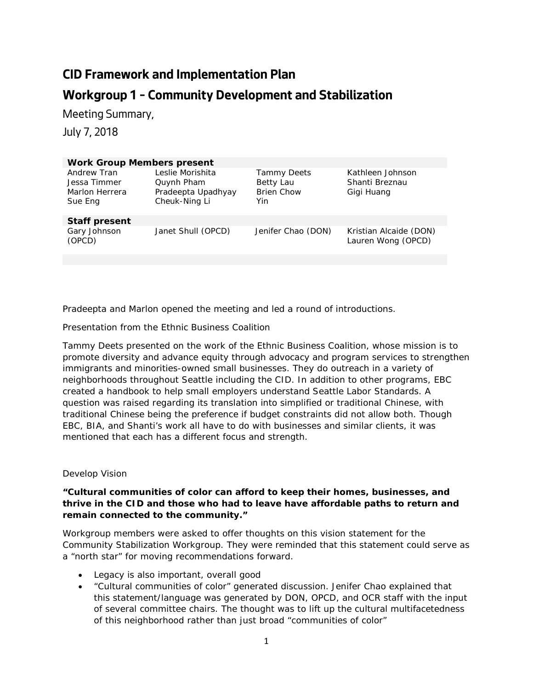# **CID Framework and Implementation Plan Workgroup 1 – Community Development and Stabilization**

Meeting Summary,

July 7, 2018

| <b>Work Group Members present</b>                        |                                                                       |                                                             |                                                  |
|----------------------------------------------------------|-----------------------------------------------------------------------|-------------------------------------------------------------|--------------------------------------------------|
| Andrew Tran<br>Jessa Timmer<br>Marlon Herrera<br>Sue Eng | Leslie Morishita<br>Quynh Pham<br>Pradeepta Upadhyay<br>Cheuk-Ning Li | <b>Tammy Deets</b><br>Betty Lau<br><b>Brien Chow</b><br>Yin | Kathleen Johnson<br>Shanti Breznau<br>Gigi Huang |
| <b>Staff present</b>                                     |                                                                       |                                                             |                                                  |
| Gary Johnson<br>(OPCD)                                   | Janet Shull (OPCD)                                                    | Jenifer Chao (DON)                                          | Kristian Alcaide (DON)<br>Lauren Wong (OPCD)     |
|                                                          |                                                                       |                                                             |                                                  |

Pradeepta and Marlon opened the meeting and led a round of introductions.

## *Presentation from the Ethnic Business Coalition*

Tammy Deets presented on the work of the Ethnic Business Coalition, whose mission is to promote diversity and advance equity through advocacy and program services to strengthen immigrants and minorities-owned small businesses. They do outreach in a variety of neighborhoods throughout Seattle including the CID. In addition to other programs, EBC created a handbook to help small employers understand Seattle Labor Standards. A question was raised regarding its translation into simplified or traditional Chinese, with traditional Chinese being the preference if budget constraints did not allow both. Though EBC, BIA, and Shanti's work all have to do with businesses and similar clients, it was mentioned that each has a different focus and strength.

#### *Develop Vision*

## **"Cultural communities of color can afford to keep their homes, businesses, and thrive in the CID and those who had to leave have affordable paths to return and remain connected to the community."**

Workgroup members were asked to offer thoughts on this vision statement for the Community Stabilization Workgroup. They were reminded that this statement could serve as a "north star" for moving recommendations forward.

- Legacy is also important, overall good
- "Cultural communities of color" generated discussion. Jenifer Chao explained that this statement/language was generated by DON, OPCD, and OCR staff with the input of several committee chairs. The thought was to lift up the cultural multifacetedness of this neighborhood rather than just broad "communities of color"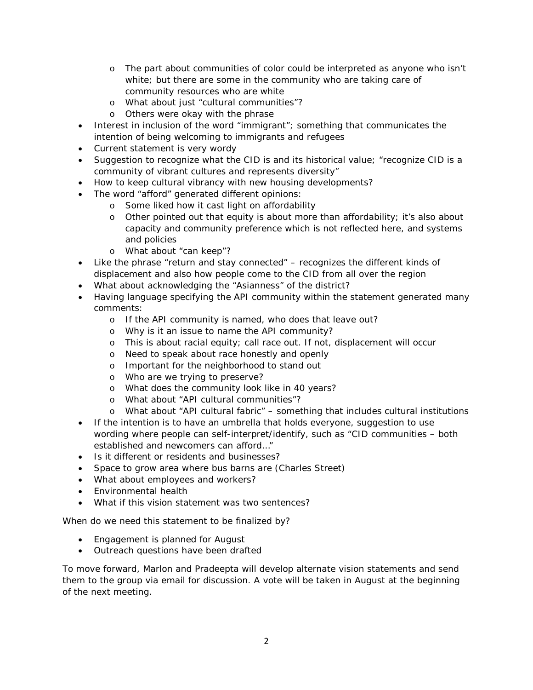- o The part about communities of color could be interpreted as anyone who isn't white; but there are some in the community who are taking care of community resources who are white
- o What about just "cultural communities"?
- o Others were okay with the phrase
- Interest in inclusion of the word "immigrant"; something that communicates the intention of being welcoming to immigrants and refugees
- Current statement is very wordy
- Suggestion to recognize what the CID is and its historical value; "recognize CID is a community of vibrant cultures and represents diversity"
- How to keep cultural vibrancy with new housing developments?
- The word "afford" generated different opinions:
	- o Some liked how it cast light on affordability
	- o Other pointed out that equity is about more than affordability; it's also about capacity and community preference which is not reflected here, and systems and policies
	- o What about "can keep"?
- Like the phrase "return and stay connected" recognizes the different kinds of displacement and also how people come to the CID from all over the region
- What about acknowledging the "Asianness" of the district?
- Having language specifying the API community within the statement generated many comments:
	- o If the API community is named, who does that leave out?
	- o Why is it an issue to name the API community?
	- o This is about racial equity; call race out. If not, displacement will occur
	- o Need to speak about race honestly and openly
	- o Important for the neighborhood to stand out
	- o Who are we trying to preserve?
	- o What does the community look like in 40 years?
	- o What about "API cultural communities"?
	- o What about "API cultural fabric" something that includes cultural institutions
- If the intention is to have an umbrella that holds everyone, suggestion to use wording where people can self-interpret/identify, such as "CID communities – both established and newcomers can afford…"
- Is it different or residents and businesses?
- Space to grow area where bus barns are (Charles Street)
- What about employees and workers?
- Environmental health
- What if this vision statement was two sentences?

When do we need this statement to be finalized by?

- Engagement is planned for August
- Outreach questions have been drafted

To move forward, Marlon and Pradeepta will develop alternate vision statements and send them to the group via email for discussion. A vote will be taken in August at the beginning of the next meeting.